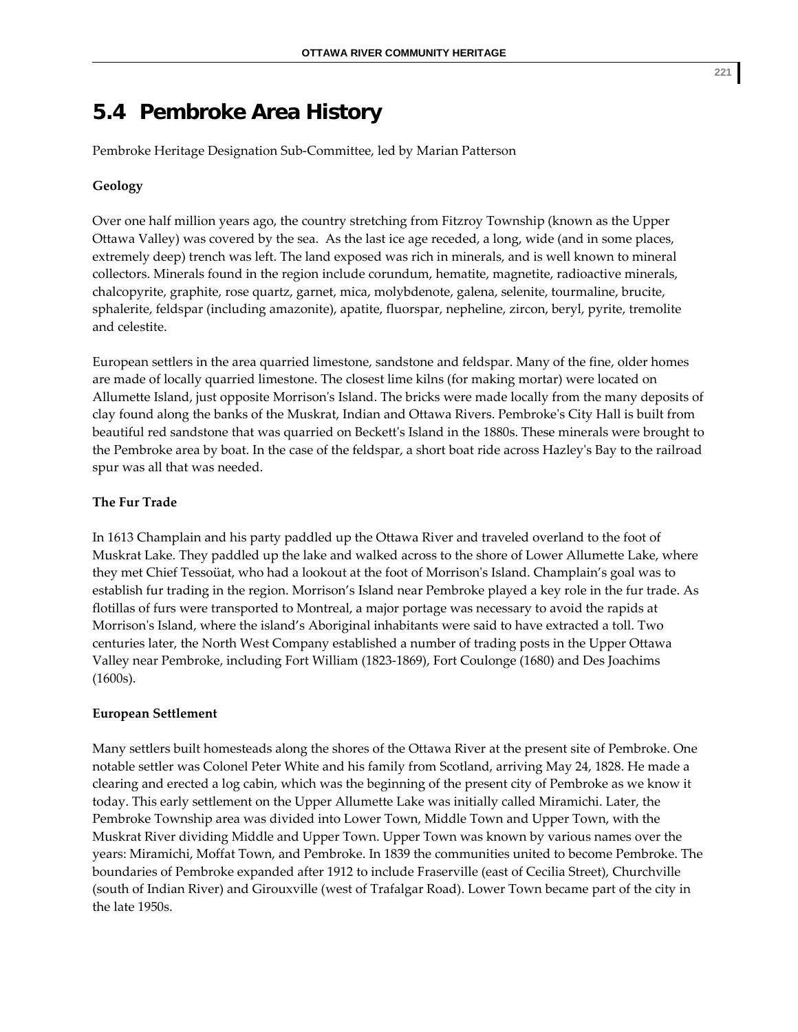# **5.4 Pembroke Area History**

Pembroke Heritage Designation Sub‐Committee, led by Marian Patterson

## **Geology**

Over one half million years ago, the country stretching from Fitzroy Township (known as the Upper Ottawa Valley) was covered by the sea. As the last ice age receded, a long, wide (and in some places, extremely deep) trench was left. The land exposed was rich in minerals, and is well known to mineral collectors. Minerals found in the region include corundum, hematite, magnetite, radioactive minerals, chalcopyrite, graphite, rose quartz, garnet, mica, molybdenote, galena, selenite, tourmaline, brucite, sphalerite, feldspar (including amazonite), apatite, fluorspar, nepheline, zircon, beryl, pyrite, tremolite and celestite.

European settlers in the area quarried limestone, sandstone and feldspar. Many of the fine, older homes are made of locally quarried limestone. The closest lime kilns (for making mortar) were located on Allumette Island, just opposite Morrisonʹs Island. The bricks were made locally from the many deposits of clay found along the banks of the Muskrat, Indian and Ottawa Rivers. Pembrokeʹs City Hall is built from beautiful red sandstone that was quarried on Beckettʹs Island in the 1880s. These minerals were brought to the Pembroke area by boat. In the case of the feldspar, a short boat ride across Hazleyʹs Bay to the railroad spur was all that was needed.

### **The Fur Trade**

In 1613 Champlain and his party paddled up the Ottawa River and traveled overland to the foot of Muskrat Lake. They paddled up the lake and walked across to the shore of Lower Allumette Lake, where they met Chief Tessoüat, who had a lookout at the foot of Morrisonʹs Island. Champlain's goal was to establish fur trading in the region. Morrison's Island near Pembroke played a key role in the fur trade. As flotillas of furs were transported to Montreal, a major portage was necessary to avoid the rapids at Morrison's Island, where the island's Aboriginal inhabitants were said to have extracted a toll. Two centuries later, the North West Company established a number of trading posts in the Upper Ottawa Valley near Pembroke, including Fort William (1823‐1869), Fort Coulonge (1680) and Des Joachims (1600s).

#### **European Settlement**

Many settlers built homesteads along the shores of the Ottawa River at the present site of Pembroke. One notable settler was Colonel Peter White and his family from Scotland, arriving May 24, 1828. He made a clearing and erected a log cabin, which was the beginning of the present city of Pembroke as we know it today. This early settlement on the Upper Allumette Lake was initially called Miramichi. Later, the Pembroke Township area was divided into Lower Town, Middle Town and Upper Town, with the Muskrat River dividing Middle and Upper Town. Upper Town was known by various names over the years: Miramichi, Moffat Town, and Pembroke. In 1839 the communities united to become Pembroke. The boundaries of Pembroke expanded after 1912 to include Fraserville (east of Cecilia Street), Churchville (south of Indian River) and Girouxville (west of Trafalgar Road). Lower Town became part of the city in the late 1950s.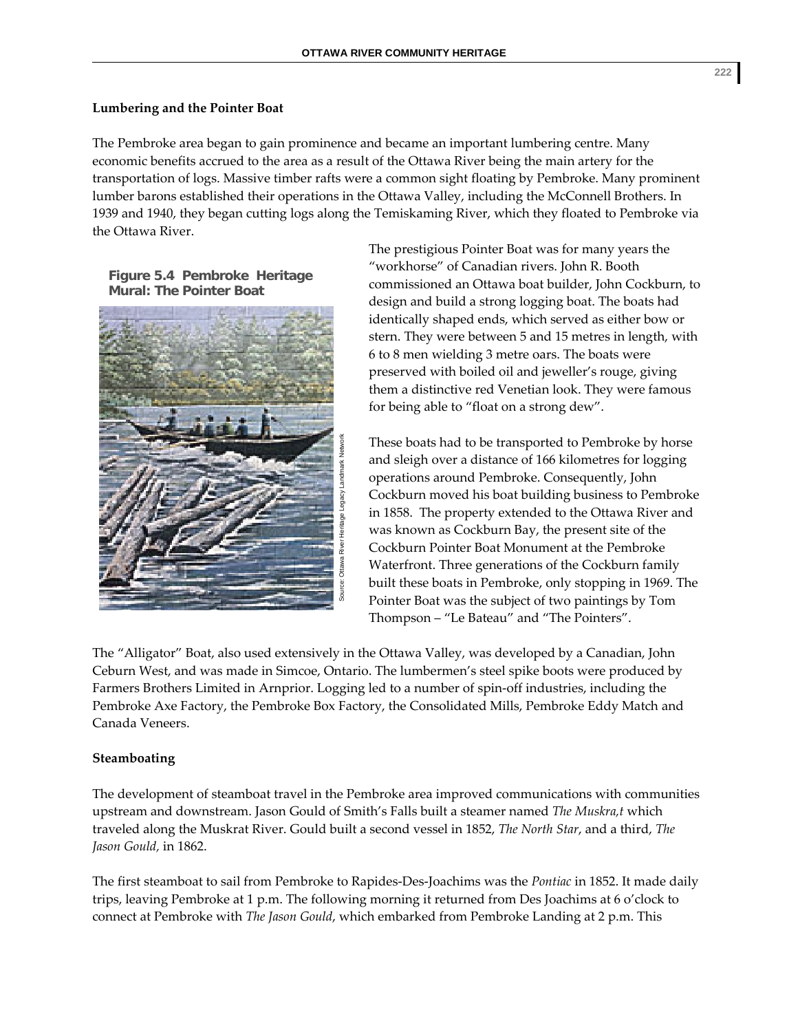#### **Lumbering and the Pointer Boat**

The Pembroke area began to gain prominence and became an important lumbering centre. Many economic benefits accrued to the area as a result of the Ottawa River being the main artery for the transportation of logs. Massive timber rafts were a common sight floating by Pembroke. Many prominent lumber barons established their operations in the Ottawa Valley, including the McConnell Brothers. In 1939 and 1940, they began cutting logs along the Temiskaming River, which they floated to Pembroke via the Ottawa River.

**Figure 5.4 Pembroke Heritage Mural: The Pointer Boat** 



The prestigious Pointer Boat was for many years the "workhorse" of Canadian rivers. John R. Booth commissioned an Ottawa boat builder, John Cockburn, to design and build a strong logging boat. The boats had identically shaped ends, which served as either bow or stern. They were between 5 and 15 metres in length, with 6 to 8 men wielding 3 metre oars. The boats were preserved with boiled oil and jeweller's rouge, giving them a distinctive red Venetian look. They were famous for being able to "float on a strong dew".

These boats had to be transported to Pembroke by horse and sleigh over a distance of 166 kilometres for logging operations around Pembroke. Consequently, John Cockburn moved his boat building business to Pembroke in 1858. The property extended to the Ottawa River and was known as Cockburn Bay, the present site of the Cockburn Pointer Boat Monument at the Pembroke Waterfront. Three generations of the Cockburn family built these boats in Pembroke, only stopping in 1969. The Pointer Boat was the subject of two paintings by Tom Thompson – "Le Bateau" and "The Pointers".

The "Alligator" Boat, also used extensively in the Ottawa Valley, was developed by a Canadian, John Ceburn West, and was made in Simcoe, Ontario. The lumbermen's steel spike boots were produced by Farmers Brothers Limited in Arnprior. Logging led to a number of spin‐off industries, including the Pembroke Axe Factory, the Pembroke Box Factory, the Consolidated Mills, Pembroke Eddy Match and Canada Veneers.

## **Steamboating**

The development of steamboat travel in the Pembroke area improved communications with communities upstream and downstream. Jason Gould of Smith's Falls built a steamer named *The Muskra,t* which traveled along the Muskrat River. Gould built a second vessel in 1852, *The North Star*, and a third, *The Jason Gould,* in 1862.

The first steamboat to sail from Pembroke to Rapides‐Des‐Joachims was the *Pontiac* in 1852. It made daily trips, leaving Pembroke at 1 p.m. The following morning it returned from Des Joachims at 6 o'clock to connect at Pembroke with *The Jason Gould*, which embarked from Pembroke Landing at 2 p.m. This